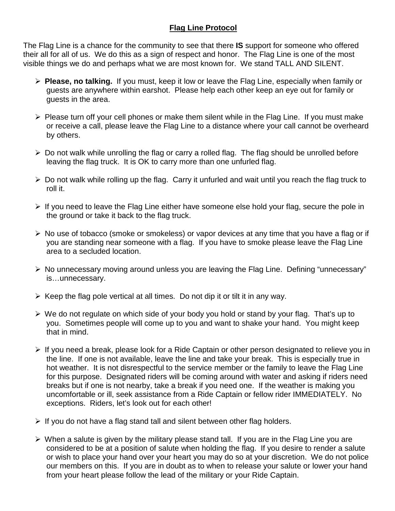## **Flag Line Protocol**

The Flag Line is a chance for the community to see that there **IS** support for someone who offered their all for all of us. We do this as a sign of respect and honor. The Flag Line is one of the most visible things we do and perhaps what we are most known for. We stand TALL AND SILENT.

- **Please, no talking.** If you must, keep it low or leave the Flag Line, especially when family or guests are anywhere within earshot. Please help each other keep an eye out for family or guests in the area.
- $\triangleright$  Please turn off your cell phones or make them silent while in the Flag Line. If you must make or receive a call, please leave the Flag Line to a distance where your call cannot be overheard by others.
- $\triangleright$  Do not walk while unrolling the flag or carry a rolled flag. The flag should be unrolled before leaving the flag truck. It is OK to carry more than one unfurled flag.
- $\triangleright$  Do not walk while rolling up the flag. Carry it unfurled and wait until you reach the flag truck to roll it.
- $\triangleright$  If you need to leave the Flag Line either have someone else hold your flag, secure the pole in the ground or take it back to the flag truck.
- $\triangleright$  No use of tobacco (smoke or smokeless) or vapor devices at any time that you have a flag or if you are standing near someone with a flag. If you have to smoke please leave the Flag Line area to a secluded location.
- $\triangleright$  No unnecessary moving around unless you are leaving the Flag Line. Defining "unnecessary" is…unnecessary.
- $\triangleright$  Keep the flag pole vertical at all times. Do not dip it or tilt it in any way.
- We do not regulate on which side of your body you hold or stand by your flag. That's up to you. Sometimes people will come up to you and want to shake your hand. You might keep that in mind.
- $\triangleright$  If you need a break, please look for a Ride Captain or other person designated to relieve you in the line. If one is not available, leave the line and take your break. This is especially true in hot weather. It is not disrespectful to the service member or the family to leave the Flag Line for this purpose. Designated riders will be coming around with water and asking if riders need breaks but if one is not nearby, take a break if you need one. If the weather is making you uncomfortable or ill, seek assistance from a Ride Captain or fellow rider IMMEDIATELY. No exceptions. Riders, let's look out for each other!
- $\triangleright$  If you do not have a flag stand tall and silent between other flag holders.
- $\triangleright$  When a salute is given by the military please stand tall. If you are in the Flag Line you are considered to be at a position of salute when holding the flag. If you desire to render a salute or wish to place your hand over your heart you may do so at your discretion. We do not police our members on this. If you are in doubt as to when to release your salute or lower your hand from your heart please follow the lead of the military or your Ride Captain.